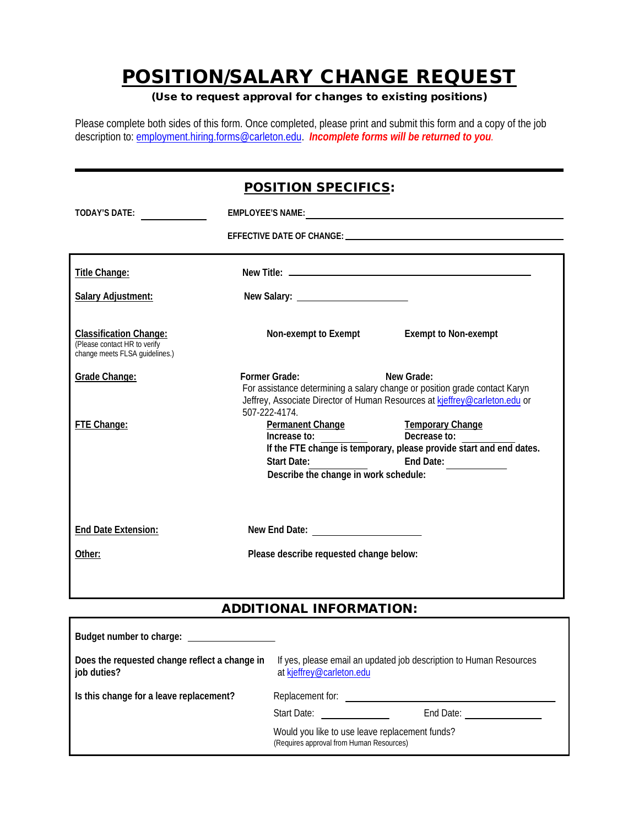# POSITION/SALARY CHANGE REQUEST

### (Use to request approval for changes to existing positions)

Please complete both sides of this form. Once completed, please print and submit this form and a copy of the job description to: employment.hiring.forms@carleton.edu. *Incomplete forms will be returned to you.*

| <b>POSITION SPECIFICS:</b>                                                                      |                                                                                                                                                                                                                                                                                                                              |                                                                                                                                                                                                                                |  |  |  |  |
|-------------------------------------------------------------------------------------------------|------------------------------------------------------------------------------------------------------------------------------------------------------------------------------------------------------------------------------------------------------------------------------------------------------------------------------|--------------------------------------------------------------------------------------------------------------------------------------------------------------------------------------------------------------------------------|--|--|--|--|
| TODAY'S DATE:                                                                                   |                                                                                                                                                                                                                                                                                                                              | EMPLOYEE'S NAME: University of the service of the service of the service of the service of the service of the service of the service of the service of the service of the service of the service of the service of the service |  |  |  |  |
|                                                                                                 |                                                                                                                                                                                                                                                                                                                              |                                                                                                                                                                                                                                |  |  |  |  |
| Title Change:                                                                                   |                                                                                                                                                                                                                                                                                                                              |                                                                                                                                                                                                                                |  |  |  |  |
| <b>Salary Adjustment:</b>                                                                       |                                                                                                                                                                                                                                                                                                                              |                                                                                                                                                                                                                                |  |  |  |  |
| <b>Classification Change:</b><br>(Please contact HR to verify<br>change meets FLSA guidelines.) |                                                                                                                                                                                                                                                                                                                              | Non-exempt to Exempt <b>Exempt</b> to Non-exempt                                                                                                                                                                               |  |  |  |  |
| Grade Change:                                                                                   | <b>Former Grade:</b><br>507-222-4174.                                                                                                                                                                                                                                                                                        | New Grade:<br>For assistance determining a salary change or position grade contact Karyn<br>Jeffrey, Associate Director of Human Resources at kjeffrey@carleton.edu or                                                         |  |  |  |  |
| FTE Change:                                                                                     | Permanent Change Temporary Change<br>Increase to:<br>Start Date: The Contract of the Contract of the Contract of the Contract of the Contract of the Contract of the Contract of the Contract of the Contract of the Contract of the Contract of the Contract of the Contract of th<br>Describe the change in work schedule: | Decrease to:<br>If the FTE change is temporary, please provide start and end dates.<br>End Date:                                                                                                                               |  |  |  |  |
| End Date Extension:                                                                             |                                                                                                                                                                                                                                                                                                                              |                                                                                                                                                                                                                                |  |  |  |  |
| Other:                                                                                          | Please describe requested change below:                                                                                                                                                                                                                                                                                      |                                                                                                                                                                                                                                |  |  |  |  |

# ADDITIONAL INFORMATION:

| Budget number to charge:                                     |                                                                                                |                                                |  |
|--------------------------------------------------------------|------------------------------------------------------------------------------------------------|------------------------------------------------|--|
| Does the requested change reflect a change in<br>job duties? | If yes, please email an updated job description to Human Resources<br>at kjeffrey@carleton.edu |                                                |  |
| Is this change for a leave replacement?                      | Replacement for:                                                                               |                                                |  |
|                                                              | Start Date:                                                                                    | End Date:                                      |  |
|                                                              | (Requires approval from Human Resources)                                                       | Would you like to use leave replacement funds? |  |